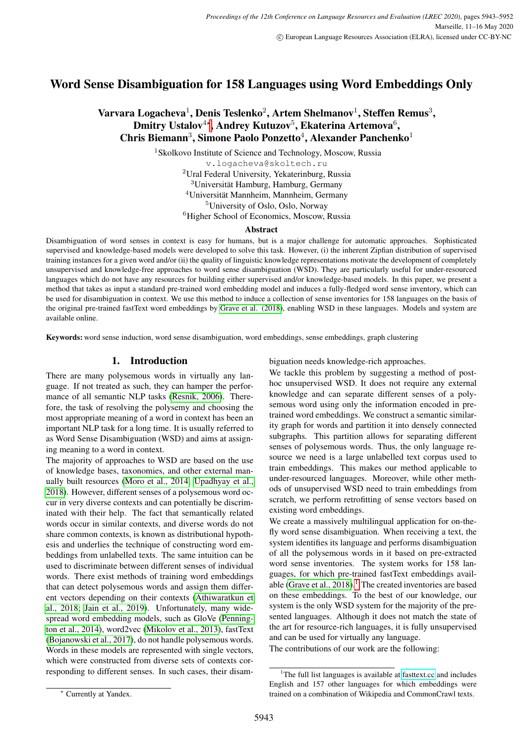# Word Sense Disambiguation for 158 Languages using Word Embeddings Only

# Varvara Logacheva $^1$ , Denis Teslenko $^2$ , Artem Shelmanov $^1$ , Steffen Remus $^3,$ Dmitry Ustalov $^{4\star}$ , Andrey Kutuzov $^{5}$ , Ekaterina Artemova $^{6}$ , Chris Biemann<sup>3</sup>, Simone Paolo Ponzetto<sup>4</sup>, Alexander Panchenko<sup>1</sup>

<sup>1</sup> Skolkovo Institute of Science and Technology, Moscow, Russia v.logacheva@skoltech.ru Ural Federal University, Yekaterinburg, Russia Universität Hamburg, Hamburg, Germany Universität Mannheim, Mannheim, Germany University of Oslo, Oslo, Norway Higher School of Economics, Moscow, Russia

#### Abstract

Disambiguation of word senses in context is easy for humans, but is a major challenge for automatic approaches. Sophisticated supervised and knowledge-based models were developed to solve this task. However, (i) the inherent Zipfian distribution of supervised training instances for a given word and/or (ii) the quality of linguistic knowledge representations motivate the development of completely unsupervised and knowledge-free approaches to word sense disambiguation (WSD). They are particularly useful for under-resourced languages which do not have any resources for building either supervised and/or knowledge-based models. In this paper, we present a method that takes as input a standard pre-trained word embedding model and induces a fully-fledged word sense inventory, which can be used for disambiguation in context. We use this method to induce a collection of sense inventories for 158 languages on the basis of the original pre-trained fastText word embeddings by [Grave et al. \(2018\)](#page-8-0), enabling WSD in these languages. Models and system are available online.

Keywords: word sense induction, word sense disambiguation, word embeddings, sense embeddings, graph clustering

# 1. Introduction

There are many polysemous words in virtually any language. If not treated as such, they can hamper the performance of all semantic NLP tasks [\(Resnik, 2006\)](#page-9-0). Therefore, the task of resolving the polysemy and choosing the most appropriate meaning of a word in context has been an important NLP task for a long time. It is usually referred to as Word Sense Disambiguation (WSD) and aims at assigning meaning to a word in context.

The majority of approaches to WSD are based on the use of knowledge bases, taxonomies, and other external manually built resources [\(Moro et al., 2014;](#page-9-1) [Upadhyay et al.,](#page-9-2) [2018\)](#page-9-2). However, different senses of a polysemous word occur in very diverse contexts and can potentially be discriminated with their help. The fact that semantically related words occur in similar contexts, and diverse words do not share common contexts, is known as distributional hypothesis and underlies the technique of constructing word embeddings from unlabelled texts. The same intuition can be used to discriminate between different senses of individual words. There exist methods of training word embeddings that can detect polysemous words and assign them different vectors depending on their contexts [\(Athiwaratkun et](#page-8-1) [al., 2018;](#page-8-1) [Jain et al., 2019\)](#page-8-2). Unfortunately, many widespread word embedding models, such as GloVe [\(Penning](#page-9-3)[ton et al., 2014\)](#page-9-3), word2vec [\(Mikolov et al., 2013\)](#page-9-4), fastText [\(Bojanowski et al., 2017\)](#page-8-3), do not handle polysemous words. Words in these models are represented with single vectors, which were constructed from diverse sets of contexts corresponding to different senses. In such cases, their disambiguation needs knowledge-rich approaches.

We tackle this problem by suggesting a method of posthoc unsupervised WSD. It does not require any external knowledge and can separate different senses of a polysemous word using only the information encoded in pretrained word embeddings. We construct a semantic similarity graph for words and partition it into densely connected subgraphs. This partition allows for separating different senses of polysemous words. Thus, the only language resource we need is a large unlabelled text corpus used to train embeddings. This makes our method applicable to under-resourced languages. Moreover, while other methods of unsupervised WSD need to train embeddings from scratch, we perform retrofitting of sense vectors based on existing word embeddings.

We create a massively multilingual application for on-thefly word sense disambiguation. When receiving a text, the system identifies its language and performs disambiguation of all the polysemous words in it based on pre-extracted word sense inventories. The system works for 158 languages, for which pre-trained fastText embeddings available (Grave et al.,  $2018$  $2018$  $2018$ ).<sup>1</sup> The created inventories are based on these embeddings. To the best of our knowledge, our system is the only WSD system for the majority of the presented languages. Although it does not match the state of the art for resource-rich languages, it is fully unsupervised and can be used for virtually any language.

The contributions of our work are the following:

<span id="page-0-0"></span><sup>&</sup>lt;sup>1</sup>The full list languages is available at [fasttext.cc](https://fasttext.cc) and includes English and 157 other languages for which embeddings were trained on a combination of Wikipedia and CommonCrawl texts.

Currently at Yandex.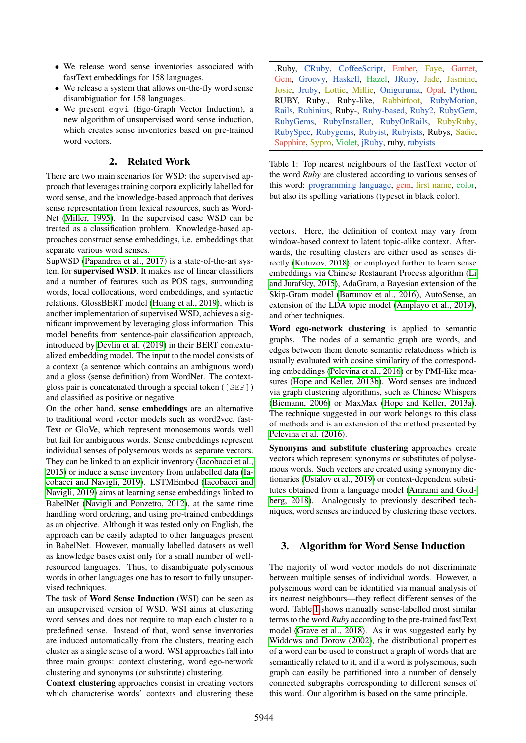- We release word sense inventories associated with fastText embeddings for 158 languages.
- We release a system that allows on-the-fly word sense disambiguation for 158 languages.
- We present egvi (Ego-Graph Vector Induction), a new algorithm of unsupervised word sense induction, which creates sense inventories based on pre-trained word vectors.

# 2. Related Work

There are two main scenarios for WSD: the supervised approach that leverages training corpora explicitly labelled for word sense, and the knowledge-based approach that derives sense representation from lexical resources, such as Word-Net [\(Miller, 1995\)](#page-9-5). In the supervised case WSD can be treated as a classification problem. Knowledge-based approaches construct sense embeddings, i.e. embeddings that separate various word senses.

SupWSD [\(Papandrea et al., 2017\)](#page-9-6) is a state-of-the-art system for supervised WSD. It makes use of linear classifiers and a number of features such as POS tags, surrounding words, local collocations, word embeddings, and syntactic relations. GlossBERT model [\(Huang et al., 2019\)](#page-8-4), which is another implementation of supervised WSD, achieves a significant improvement by leveraging gloss information. This model benefits from sentence-pair classification approach, introduced by [Devlin et al. \(2019\)](#page-8-5) in their BERT contextualized embedding model. The input to the model consists of a context (a sentence which contains an ambiguous word) and a gloss (sense definition) from WordNet. The contextgloss pair is concatenated through a special token ([SEP]) and classified as positive or negative.

On the other hand, sense embeddings are an alternative to traditional word vector models such as word2vec, fast-Text or GloVe, which represent monosemous words well but fail for ambiguous words. Sense embeddings represent individual senses of polysemous words as separate vectors. They can be linked to an explicit inventory [\(Iacobacci et al.,](#page-8-6) [2015\)](#page-8-6) or induce a sense inventory from unlabelled data [\(Ia](#page-8-7)[cobacci and Navigli, 2019\)](#page-8-7). LSTMEmbed [\(Iacobacci and](#page-8-7) [Navigli, 2019\)](#page-8-7) aims at learning sense embeddings linked to BabelNet [\(Navigli and Ponzetto, 2012\)](#page-9-7), at the same time handling word ordering, and using pre-trained embeddings as an objective. Although it was tested only on English, the approach can be easily adapted to other languages present in BabelNet. However, manually labelled datasets as well as knowledge bases exist only for a small number of wellresourced languages. Thus, to disambiguate polysemous words in other languages one has to resort to fully unsupervised techniques.

The task of Word Sense Induction (WSI) can be seen as an unsupervised version of WSD. WSI aims at clustering word senses and does not require to map each cluster to a predefined sense. Instead of that, word sense inventories are induced automatically from the clusters, treating each cluster as a single sense of a word. WSI approaches fall into three main groups: context clustering, word ego-network clustering and synonyms (or substitute) clustering.

Context clustering approaches consist in creating vectors which characterise words' contexts and clustering these

<span id="page-1-0"></span>.Ruby, CRuby, CoffeeScript, Ember, Faye, Garnet, Gem, Groovy, Haskell, Hazel, JRuby, Jade, Jasmine, Josie, Jruby, Lottie, Millie, Oniguruma, Opal, Python, RUBY, Ruby., Ruby-like, Rabbitfoot, RubyMotion, Rails, Rubinius, Ruby-, Ruby-based, Ruby2, RubyGem, RubyGems, RubyInstaller, RubyOnRails, RubyRuby, RubySpec, Rubygems, Rubyist, Rubyists, Rubys, Sadie, Sapphire, Sypro, Violet, jRuby, ruby, rubyists

Table 1: Top nearest neighbours of the fastText vector of the word *Ruby* are clustered according to various senses of this word: programming language, gem, first name, color, but also its spelling variations (typeset in black color).

vectors. Here, the definition of context may vary from window-based context to latent topic-alike context. Afterwards, the resulting clusters are either used as senses directly [\(Kutuzov, 2018\)](#page-8-8), or employed further to learn sense embeddings via Chinese Restaurant Process algorithm [\(Li](#page-8-9) [and Jurafsky, 2015\)](#page-8-9), AdaGram, a Bayesian extension of the Skip-Gram model [\(Bartunov et al., 2016\)](#page-8-10), AutoSense, an extension of the LDA topic model [\(Amplayo et al., 2019\)](#page-8-11), and other techniques.

Word ego-network clustering is applied to semantic graphs. The nodes of a semantic graph are words, and edges between them denote semantic relatedness which is usually evaluated with cosine similarity of the corresponding embeddings [\(Pelevina et al., 2016\)](#page-9-8) or by PMI-like measures [\(Hope and Keller, 2013b\)](#page-8-12). Word senses are induced via graph clustering algorithms, such as Chinese Whispers [\(Biemann, 2006\)](#page-8-13) or MaxMax [\(Hope and Keller, 2013a\)](#page-8-14). The technique suggested in our work belongs to this class of methods and is an extension of the method presented by [Pelevina et al. \(2016\)](#page-9-8).

Synonyms and substitute clustering approaches create vectors which represent synonyms or substitutes of polysemous words. Such vectors are created using synonymy dictionaries [\(Ustalov et al., 2019\)](#page-9-9) or context-dependent substitutes obtained from a language model [\(Amrami and Gold](#page-8-15)[berg, 2018\)](#page-8-15). Analogously to previously described techniques, word senses are induced by clustering these vectors.

## 3. Algorithm for Word Sense Induction

The majority of word vector models do not discriminate between multiple senses of individual words. However, a polysemous word can be identified via manual analysis of its nearest neighbours—they reflect different senses of the word. Table [1](#page-1-0) shows manually sense-labelled most similar terms to the word *Ruby* according to the pre-trained fastText model [\(Grave et al., 2018\)](#page-8-0). As it was suggested early by [Widdows and Dorow \(2002\)](#page-9-10), the distributional properties of a word can be used to construct a graph of words that are semantically related to it, and if a word is polysemous, such graph can easily be partitioned into a number of densely connected subgraphs corresponding to different senses of this word. Our algorithm is based on the same principle.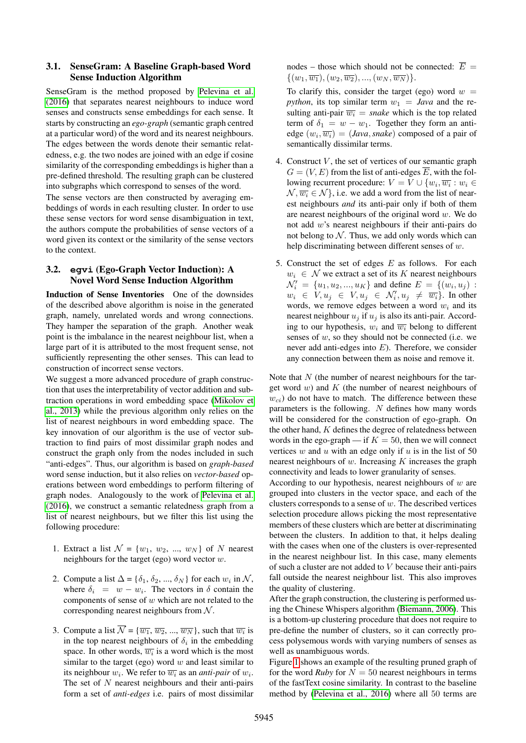#### 3.1. SenseGram: A Baseline Graph-based Word Sense Induction Algorithm

SenseGram is the method proposed by [Pelevina et al.](#page-9-8) [\(2016\)](#page-9-8) that separates nearest neighbours to induce word senses and constructs sense embeddings for each sense. It starts by constructing an *ego-graph* (semantic graph centred at a particular word) of the word and its nearest neighbours. The edges between the words denote their semantic relatedness, e.g. the two nodes are joined with an edge if cosine similarity of the corresponding embeddings is higher than a pre-defined threshold. The resulting graph can be clustered into subgraphs which correspond to senses of the word.

The sense vectors are then constructed by averaging embeddings of words in each resulting cluster. In order to use these sense vectors for word sense disambiguation in text, the authors compute the probabilities of sense vectors of a word given its context or the similarity of the sense vectors to the context.

## <span id="page-2-0"></span>3.2. **egvi** (Ego-Graph Vector Induction): A Novel Word Sense Induction Algorithm

Induction of Sense Inventories One of the downsides of the described above algorithm is noise in the generated graph, namely, unrelated words and wrong connections. They hamper the separation of the graph. Another weak point is the imbalance in the nearest neighbour list, when a large part of it is attributed to the most frequent sense, not sufficiently representing the other senses. This can lead to construction of incorrect sense vectors.

We suggest a more advanced procedure of graph construction that uses the interpretability of vector addition and subtraction operations in word embedding space [\(Mikolov et](#page-9-4) [al., 2013\)](#page-9-4) while the previous algorithm only relies on the list of nearest neighbours in word embedding space. The key innovation of our algorithm is the use of vector subtraction to find pairs of most dissimilar graph nodes and construct the graph only from the nodes included in such "anti-edges". Thus, our algorithm is based on *graph-based* word sense induction, but it also relies on *vector-based* operations between word embeddings to perform filtering of graph nodes. Analogously to the work of [Pelevina et al.](#page-9-8) [\(2016\)](#page-9-8), we construct a semantic relatedness graph from a list of nearest neighbours, but we filter this list using the following procedure:

- 1. Extract a list  $\mathcal{N} = \{w_1, w_2, ..., w_N\}$  of N nearest neighbours for the target (ego) word vector w.
- 2. Compute a list  $\Delta = {\delta_1, \delta_2, ..., \delta_N}$  for each  $w_i$  in  $\mathcal{N}$ , where  $\delta_i = w - w_i$ . The vectors in  $\delta$  contain the components of sense of  $w$  which are not related to the corresponding nearest neighbours from  $N$ .
- 3. Compute a list  $\overline{\mathcal{N}} = {\overline{w_1}, \overline{w_2}, ..., \overline{w_N}}$ , such that  $\overline{w_i}$  is in the top nearest neighbours of  $\delta_i$  in the embedding space. In other words,  $\overline{w_i}$  is a word which is the most similar to the target (ego) word  $w$  and least similar to its neighbour  $w_i$ . We refer to  $\overline{w_i}$  as an *anti-pair* of  $w_i$ . The set of  $N$  nearest neighbours and their anti-pairs form a set of *anti-edges* i.e. pairs of most dissimilar

nodes – those which should not be connected:  $\overline{E}$  =  $\{(w_1,\overline{w_1}), (w_2,\overline{w_2}), ..., (w_N,\overline{w_N})\}.$ 

To clarify this, consider the target (ego) word  $w =$ *python*, its top similar term  $w_1 = Java$  and the resulting anti-pair  $\overline{w_i}$  = *snake* which is the top related term of  $\delta_1 = w - w_1$ . Together they form an antiedge  $(w_i, \overline{w_i}) = (Java, snake)$  composed of a pair of semantically dissimilar terms.

- 4. Construct  $V$ , the set of vertices of our semantic graph  $G = (V, E)$  from the list of anti-edges  $\overline{E}$ , with the following recurrent procedure:  $V = V \cup \{w_i, \overline{w_i} : w_i \in$  $\mathcal{N}, \overline{w_i} \in \mathcal{N}$ , i.e. we add a word from the list of nearest neighbours *and* its anti-pair only if both of them are nearest neighbours of the original word  $w$ . We do not add w's nearest neighbours if their anti-pairs do not belong to  $N$ . Thus, we add only words which can help discriminating between different senses of w.
- 5. Construct the set of edges  $E$  as follows. For each  $w_i \in \mathcal{N}$  we extract a set of its K nearest neighbours  $\mathcal{N}'_i = \{u_1, u_2, ..., u_K\}$  and define  $E = \{(w_i, u_j)$ :  $w_i \in V, u_j \in V, u_j \in \mathcal{N}'_i, u_j \neq \overline{w_i}$ . In other words, we remove edges between a word  $w_i$  and its nearest neighbour  $u_i$  if  $u_j$  is also its anti-pair. According to our hypothesis,  $w_i$  and  $\overline{w_i}$  belong to different senses of  $w$ , so they should not be connected (i.e. we never add anti-edges into  $E$ ). Therefore, we consider any connection between them as noise and remove it.

Note that  $N$  (the number of nearest neighbours for the target word  $w$ ) and  $K$  (the number of nearest neighbours of  $w_{ci}$ ) do not have to match. The difference between these parameters is the following.  $N$  defines how many words will be considered for the construction of ego-graph. On the other hand,  $K$  defines the degree of relatedness between words in the ego-graph — if  $K = 50$ , then we will connect vertices w and u with an edge only if u is in the list of 50 nearest neighbours of  $w$ . Increasing  $K$  increases the graph connectivity and leads to lower granularity of senses.

According to our hypothesis, nearest neighbours of  $w$  are grouped into clusters in the vector space, and each of the clusters corresponds to a sense of  $w$ . The described vertices selection procedure allows picking the most representative members of these clusters which are better at discriminating between the clusters. In addition to that, it helps dealing with the cases when one of the clusters is over-represented in the nearest neighbour list. In this case, many elements of such a cluster are not added to V because their anti-pairs fall outside the nearest neighbour list. This also improves the quality of clustering.

After the graph construction, the clustering is performed using the Chinese Whispers algorithm [\(Biemann, 2006\)](#page-8-13). This is a bottom-up clustering procedure that does not require to pre-define the number of clusters, so it can correctly process polysemous words with varying numbers of senses as well as unambiguous words.

Figure [1](#page-3-0) shows an example of the resulting pruned graph of for the word *Ruby* for  $N = 50$  nearest neighbours in terms of the fastText cosine similarity. In contrast to the baseline method by [\(Pelevina et al., 2016\)](#page-9-8) where all 50 terms are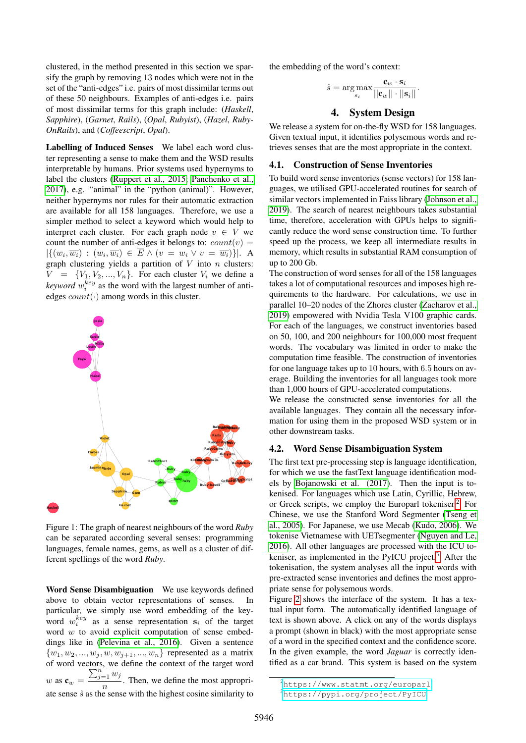clustered, in the method presented in this section we sparsify the graph by removing 13 nodes which were not in the set of the "anti-edges" i.e. pairs of most dissimilar terms out of these 50 neighbours. Examples of anti-edges i.e. pairs of most dissimilar terms for this graph include: (*Haskell*, *Sapphire*), (*Garnet*, *Rails*), (*Opal*, *Rubyist*), (*Hazel*, *Ruby-OnRails*), and (*Coffeescript*, *Opal*).

Labelling of Induced Senses We label each word cluster representing a sense to make them and the WSD results interpretable by humans. Prior systems used hypernyms to label the clusters [\(Ruppert et al., 2015;](#page-9-11) [Panchenko et al.,](#page-9-12) [2017\)](#page-9-12), e.g. "animal" in the "python (animal)". However, neither hypernyms nor rules for their automatic extraction are available for all 158 languages. Therefore, we use a simpler method to select a keyword which would help to interpret each cluster. For each graph node  $v \in V$  we count the number of anti-edges it belongs to:  $count(v)$  =  $|\{(w_i,\overline{w_i}) : (w_i,\overline{w_i}) \in \overline{E} \wedge (v = w_i \vee v = \overline{w_i})\}|.$  A graph clustering yields a partition of  $V$  into  $n$  clusters:  $V = \{V_1, V_2, ..., V_n\}$ . For each cluster  $V_i$  we define a *keyword*  $w_i^{key}$  as the word with the largest number of antiedges  $count(\cdot)$  among words in this cluster.

<span id="page-3-0"></span>

Figure 1: The graph of nearest neighbours of the word *Ruby* can be separated according several senses: programming languages, female names, gems, as well as a cluster of different spellings of the word *Ruby*.

Word Sense Disambiguation We use keywords defined above to obtain vector representations of senses. In particular, we simply use word embedding of the keyword  $w_i^{key}$  as a sense representation  $s_i$  of the target word  $w$  to avoid explicit computation of sense embeddings like in [\(Pelevina et al., 2016\)](#page-9-8). Given a sentence  $\{w_1, w_2, ..., w_j, w, w_{j+1}, ..., w_n\}$  represented as a matrix of word vectors, we define the context of the target word w as  $\mathbf{c}_w =$  $\sum_{j=1}^n w_j$  $\frac{1}{n}$ . Then, we define the most appropriate sense  $\hat{s}$  as the sense with the highest cosine similarity to

the embedding of the word's context:

$$
\hat{s} = \underset{s_i}{\arg\max} \frac{\mathbf{c}_w \cdot \mathbf{s}_i}{||\mathbf{c}_w|| \cdot ||\mathbf{s}_i||}.
$$

# 4. System Design

We release a system for on-the-fly WSD for 158 languages. Given textual input, it identifies polysemous words and retrieves senses that are the most appropriate in the context.

#### 4.1. Construction of Sense Inventories

To build word sense inventories (sense vectors) for 158 languages, we utilised GPU-accelerated routines for search of similar vectors implemented in Faiss library [\(Johnson et al.,](#page-8-16) [2019\)](#page-8-16). The search of nearest neighbours takes substantial time, therefore, acceleration with GPUs helps to significantly reduce the word sense construction time. To further speed up the process, we keep all intermediate results in memory, which results in substantial RAM consumption of up to 200 Gb.

The construction of word senses for all of the 158 languages takes a lot of computational resources and imposes high requirements to the hardware. For calculations, we use in parallel 10–20 nodes of the Zhores cluster [\(Zacharov et al.,](#page-9-13) [2019\)](#page-9-13) empowered with Nvidia Tesla V100 graphic cards. For each of the languages, we construct inventories based on 50, 100, and 200 neighbours for 100,000 most frequent words. The vocabulary was limited in order to make the computation time feasible. The construction of inventories for one language takes up to 10 hours, with 6.5 hours on average. Building the inventories for all languages took more than 1,000 hours of GPU-accelerated computations.

We release the constructed sense inventories for all the available languages. They contain all the necessary information for using them in the proposed WSD system or in other downstream tasks.

#### 4.2. Word Sense Disambiguation System

The first text pre-processing step is language identification, for which we use the fastText language identification models by [Bojanowski et al. \(2017\)](#page-8-3). Then the input is tokenised. For languages which use Latin, Cyrillic, Hebrew, or Greek scripts, we employ the Europarl tokeniser.<sup>[2](#page-3-1)</sup> For Chinese, we use the Stanford Word Segmenter [\(Tseng et](#page-9-14) [al., 2005\)](#page-9-14). For Japanese, we use Mecab [\(Kudo, 2006\)](#page-8-17). We tokenise Vietnamese with UETsegmenter [\(Nguyen and Le,](#page-9-15) [2016\)](#page-9-15). All other languages are processed with the ICU to-keniser, as implemented in the PyICU project.<sup>[3](#page-3-2)</sup> After the tokenisation, the system analyses all the input words with pre-extracted sense inventories and defines the most appropriate sense for polysemous words.

Figure [2](#page-4-0) shows the interface of the system. It has a textual input form. The automatically identified language of text is shown above. A click on any of the words displays a prompt (shown in black) with the most appropriate sense of a word in the specified context and the confidence score. In the given example, the word *Jaguar* is correctly identified as a car brand. This system is based on the system

<span id="page-3-1"></span><sup>2</sup><https://www.statmt.org/europarl>

<span id="page-3-2"></span><sup>3</sup><https://pypi.org/project/PyICU>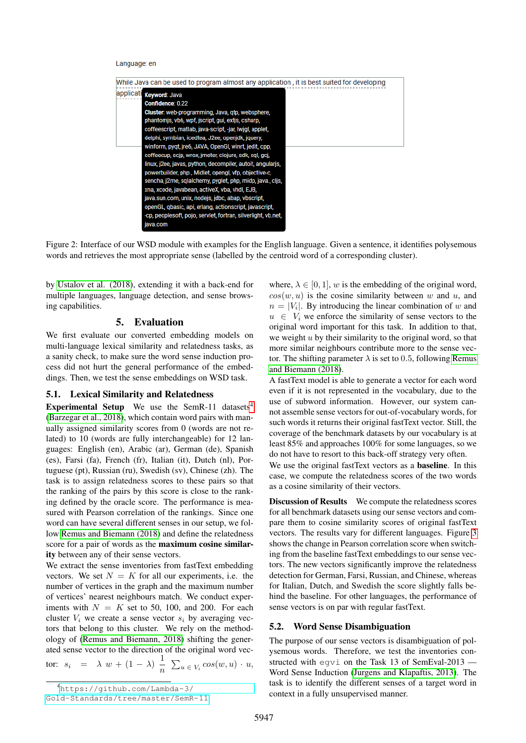#### Language: en

<span id="page-4-0"></span>

Figure 2: Interface of our WSD module with examples for the English language. Given a sentence, it identifies polysemous words and retrieves the most appropriate sense (labelled by the centroid word of a corresponding cluster).

by [Ustalov et al. \(2018\)](#page-9-16), extending it with a back-end for multiple languages, language detection, and sense browsing capabilities.

## 5. Evaluation

We first evaluate our converted embedding models on multi-language lexical similarity and relatedness tasks, as a sanity check, to make sure the word sense induction process did not hurt the general performance of the embeddings. Then, we test the sense embeddings on WSD task.

#### 5.1. Lexical Similarity and Relatedness

Experimental Setup We use the SemR-11 datasets<sup>[4](#page-4-1)</sup> [\(Barzegar et al., 2018\)](#page-8-18), which contain word pairs with manually assigned similarity scores from 0 (words are not related) to 10 (words are fully interchangeable) for 12 languages: English (en), Arabic (ar), German (de), Spanish (es), Farsi (fa), French (fr), Italian (it), Dutch (nl), Portuguese (pt), Russian (ru), Swedish (sv), Chinese (zh). The task is to assign relatedness scores to these pairs so that the ranking of the pairs by this score is close to the ranking defined by the oracle score. The performance is measured with Pearson correlation of the rankings. Since one word can have several different senses in our setup, we follow [Remus and Biemann \(2018\)](#page-9-17) and define the relatedness score for a pair of words as the maximum cosine similarity between any of their sense vectors.

We extract the sense inventories from fastText embedding vectors. We set  $N = K$  for all our experiments, i.e. the number of vertices in the graph and the maximum number of vertices' nearest neighbours match. We conduct experiments with  $N = K$  set to 50, 100, and 200. For each cluster  $V_i$  we create a sense vector  $s_i$  by averaging vectors that belong to this cluster. We rely on the methodology of [\(Remus and Biemann, 2018\)](#page-9-17) shifting the generated sense vector to the direction of the original word vec-

$$
\text{tor: } s_i = \lambda w + (1 - \lambda) \frac{1}{n} \sum_{u \in V_i} \cos(w, u) \cdot u,
$$

[Gold-Standards/tree/master/SemR-11](https://github.com/Lambda-3/Gold-Standards/tree/master/SemR-11)

where,  $\lambda \in [0, 1]$ , w is the embedding of the original word,  $cos(w, u)$  is the cosine similarity between w and u, and  $n = |V_i|$ . By introducing the linear combination of w and  $u \in V_i$  we enforce the similarity of sense vectors to the original word important for this task. In addition to that, we weight  $u$  by their similarity to the original word, so that more similar neighbours contribute more to the sense vector. The shifting parameter  $\lambda$  is set to 0.5, following [Remus](#page-9-17) [and Biemann \(2018\)](#page-9-17).

A fastText model is able to generate a vector for each word even if it is not represented in the vocabulary, due to the use of subword information. However, our system cannot assemble sense vectors for out-of-vocabulary words, for such words it returns their original fastText vector. Still, the coverage of the benchmark datasets by our vocabulary is at least 85% and approaches 100% for some languages, so we do not have to resort to this back-off strategy very often.

We use the original fastText vectors as a baseline. In this case, we compute the relatedness scores of the two words as a cosine similarity of their vectors.

Discussion of Results We compute the relatedness scores for all benchmark datasets using our sense vectors and compare them to cosine similarity scores of original fastText vectors. The results vary for different languages. Figure [3](#page-5-0) shows the change in Pearson correlation score when switching from the baseline fastText embeddings to our sense vectors. The new vectors significantly improve the relatedness detection for German, Farsi, Russian, and Chinese, whereas for Italian, Dutch, and Swedish the score slightly falls behind the baseline. For other languages, the performance of sense vectors is on par with regular fastText.

## 5.2. Word Sense Disambiguation

The purpose of our sense vectors is disambiguation of polysemous words. Therefore, we test the inventories constructed with egvi on the Task 13 of SemEval-2013 — Word Sense Induction [\(Jurgens and Klapaftis, 2013\)](#page-8-19). The task is to identify the different senses of a target word in context in a fully unsupervised manner.

<span id="page-4-1"></span><sup>4</sup>[https://github.com/Lambda-3/](https://github.com/Lambda-3/Gold-Standards/tree/master/SemR-11)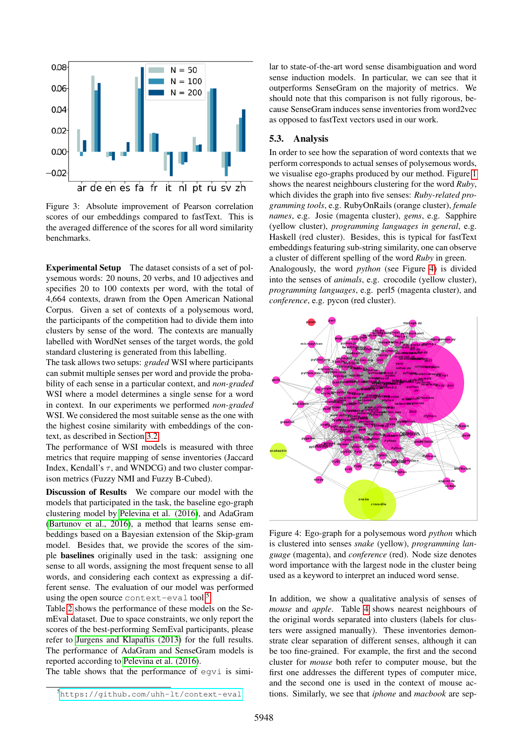<span id="page-5-0"></span>

Figure 3: Absolute improvement of Pearson correlation scores of our embeddings compared to fastText. This is the averaged difference of the scores for all word similarity benchmarks.

Experimental Setup The dataset consists of a set of polysemous words: 20 nouns, 20 verbs, and 10 adjectives and specifies 20 to 100 contexts per word, with the total of 4,664 contexts, drawn from the Open American National Corpus. Given a set of contexts of a polysemous word, the participants of the competition had to divide them into clusters by sense of the word. The contexts are manually labelled with WordNet senses of the target words, the gold standard clustering is generated from this labelling.

The task allows two setups: *graded* WSI where participants can submit multiple senses per word and provide the probability of each sense in a particular context, and *non-graded* WSI where a model determines a single sense for a word in context. In our experiments we performed *non-graded* WSI. We considered the most suitable sense as the one with the highest cosine similarity with embeddings of the context, as described in Section [3.2.](#page-2-0)

The performance of WSI models is measured with three metrics that require mapping of sense inventories (Jaccard Index, Kendall's  $\tau$ , and WNDCG) and two cluster comparison metrics (Fuzzy NMI and Fuzzy B-Cubed).

Discussion of Results We compare our model with the models that participated in the task, the baseline ego-graph clustering model by [Pelevina et al. \(2016\)](#page-9-8), and AdaGram [\(Bartunov et al., 2016\)](#page-8-10), a method that learns sense embeddings based on a Bayesian extension of the Skip-gram model. Besides that, we provide the scores of the simple baselines originally used in the task: assigning one sense to all words, assigning the most frequent sense to all words, and considering each context as expressing a different sense. The evaluation of our model was performed using the open source context-eval tool.<sup>[5](#page-5-1)</sup>

Table [2](#page-6-0) shows the performance of these models on the SemEval dataset. Due to space constraints, we only report the scores of the best-performing SemEval participants, please refer to [Jurgens and Klapaftis \(2013\)](#page-8-19) for the full results. The performance of AdaGram and SenseGram models is reported according to [Pelevina et al. \(2016\)](#page-9-8).

The table shows that the performance of egvi is simi-

lar to state-of-the-art word sense disambiguation and word sense induction models. In particular, we can see that it outperforms SenseGram on the majority of metrics. We should note that this comparison is not fully rigorous, because SenseGram induces sense inventories from word2vec as opposed to fastText vectors used in our work.

#### 5.3. Analysis

In order to see how the separation of word contexts that we perform corresponds to actual senses of polysemous words, we visualise ego-graphs produced by our method. Figure [1](#page-3-0) shows the nearest neighbours clustering for the word *Ruby*, which divides the graph into five senses: *Ruby-related programming tools*, e.g. RubyOnRails (orange cluster), *female names*, e.g. Josie (magenta cluster), *gems*, e.g. Sapphire (yellow cluster), *programming languages in general*, e.g. Haskell (red cluster). Besides, this is typical for fastText embeddings featuring sub-string similarity, one can observe a cluster of different spelling of the word *Ruby* in green. Analogously, the word *python* (see Figure [4\)](#page-5-2) is divided

into the senses of *animals*, e.g. crocodile (yellow cluster), *programming languages*, e.g. perl5 (magenta cluster), and *conference*, e.g. pycon (red cluster).

<span id="page-5-2"></span>

Figure 4: Ego-graph for a polysemous word *python* which is clustered into senses *snake* (yellow), *programming language* (magenta), and *conference* (red). Node size denotes word importance with the largest node in the cluster being used as a keyword to interpret an induced word sense.

In addition, we show a qualitative analysis of senses of *mouse* and *apple*. Table [4](#page-7-0) shows nearest neighbours of the original words separated into clusters (labels for clusters were assigned manually). These inventories demonstrate clear separation of different senses, although it can be too fine-grained. For example, the first and the second cluster for *mouse* both refer to computer mouse, but the first one addresses the different types of computer mice, and the second one is used in the context of mouse actions. Similarly, we see that *iphone* and *macbook* are sep-

<span id="page-5-1"></span><sup>5</sup><https://github.com/uhh-lt/context-eval>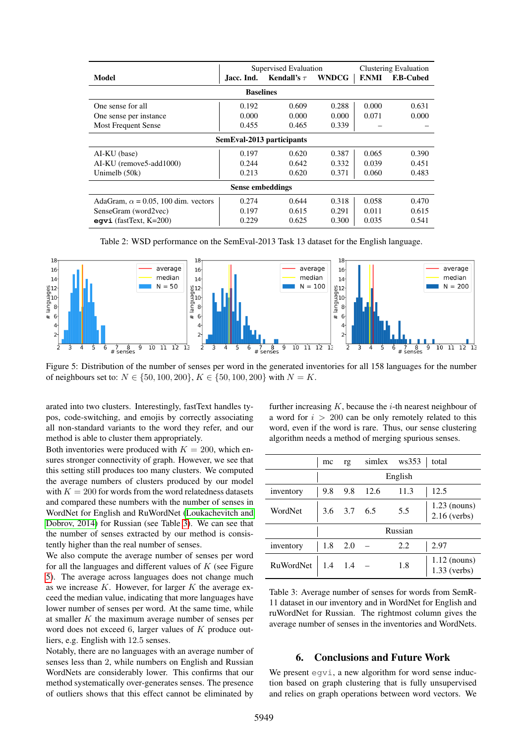<span id="page-6-0"></span>

|                                            | Supervised Evaluation |                  |              |              | <b>Clustering Evaluation</b> |  |  |  |
|--------------------------------------------|-----------------------|------------------|--------------|--------------|------------------------------|--|--|--|
| Model                                      | Jacc. Ind.            | Kendall's $\tau$ | <b>WNDCG</b> | <b>F.NMI</b> | <b>F.B-Cubed</b>             |  |  |  |
| <b>Baselines</b>                           |                       |                  |              |              |                              |  |  |  |
| One sense for all                          | 0.192                 | 0.609            | 0.288        | 0.000        | 0.631                        |  |  |  |
| One sense per instance                     | 0.000                 | 0.000            | 0.000        | 0.071        | 0.000                        |  |  |  |
| <b>Most Frequent Sense</b>                 | 0.455                 | 0.465            | 0.339        |              |                              |  |  |  |
| SemEval-2013 participants                  |                       |                  |              |              |                              |  |  |  |
| AI-KU (base)                               | 0.197                 | 0.620            | 0.387        | 0.065        | 0.390                        |  |  |  |
| AI-KU (remove5-add1000)                    | 0.244                 | 0.642            | 0.332        | 0.039        | 0.451                        |  |  |  |
| Unimelb $(50k)$                            | 0.213                 | 0.620            | 0.371        | 0.060        | 0.483                        |  |  |  |
| Sense embeddings                           |                       |                  |              |              |                              |  |  |  |
| AdaGram, $\alpha$ = 0.05, 100 dim. vectors | 0.274                 | 0.644            | 0.318        | 0.058        | 0.470                        |  |  |  |
| SenseGram (word2vec)                       | 0.197                 | 0.615            | 0.291        | 0.011        | 0.615                        |  |  |  |
| eqvi (fastText, $K=200$ )                  | 0.229                 | 0.625            | 0.300        | 0.035        | 0.541                        |  |  |  |

Table 2: WSD performance on the SemEval-2013 Task 13 dataset for the English language.

<span id="page-6-2"></span>

Figure 5: Distribution of the number of senses per word in the generated inventories for all 158 languages for the number of neighbours set to:  $N \in \{50, 100, 200\}$ ,  $K \in \{50, 100, 200\}$  with  $N = K$ .

arated into two clusters. Interestingly, fastText handles typos, code-switching, and emojis by correctly associating all non-standard variants to the word they refer, and our method is able to cluster them appropriately.

Both inventories were produced with  $K = 200$ , which ensures stronger connectivity of graph. However, we see that this setting still produces too many clusters. We computed the average numbers of clusters produced by our model with  $K = 200$  for words from the word relatedness datasets and compared these numbers with the number of senses in WordNet for English and RuWordNet [\(Loukachevitch and](#page-9-18) [Dobrov, 2014\)](#page-9-18) for Russian (see Table [3\)](#page-6-1). We can see that the number of senses extracted by our method is consistently higher than the real number of senses.

We also compute the average number of senses per word for all the languages and different values of  $K$  (see Figure [5\)](#page-6-2). The average across languages does not change much as we increase  $K$ . However, for larger  $K$  the average exceed the median value, indicating that more languages have lower number of senses per word. At the same time, while at smaller  $K$  the maximum average number of senses per word does not exceed 6, larger values of K produce outliers, e.g. English with 12.5 senses.

Notably, there are no languages with an average number of senses less than 2, while numbers on English and Russian WordNets are considerably lower. This confirms that our method systematically over-generates senses. The presence of outliers shows that this effect cannot be eliminated by

further increasing  $K$ , because the  $i$ -th nearest neighbour of a word for  $i > 200$  can be only remotely related to this word, even if the word is rare. Thus, our sense clustering algorithm needs a method of merging spurious senses.

<span id="page-6-1"></span>

|                  | mc      | rg          |      | simlex ws353 | total                            |
|------------------|---------|-------------|------|--------------|----------------------------------|
|                  | English |             |      |              |                                  |
| inventory        | 9.8     | 9.8         | 12.6 | 11.3         | 12.5                             |
| WordNet          |         | 3.6 3.7 6.5 |      | 5.5          | $1.23$ (nouns)<br>$2.16$ (verbs) |
|                  | Russian |             |      |              |                                  |
| inventory        | 1.8     | 2.0         |      | 2.2          | 2.97                             |
| <b>RuWordNet</b> | 1.4     | 1.4         |      | 1.8          | $1.12$ (nouns)<br>$1.33$ (verbs) |

Table 3: Average number of senses for words from SemR-11 dataset in our inventory and in WordNet for English and ruWordNet for Russian. The rightmost column gives the average number of senses in the inventories and WordNets.

## 6. Conclusions and Future Work

We present  $\equiv$   $q\vee i$ , a new algorithm for word sense induction based on graph clustering that is fully unsupervised and relies on graph operations between word vectors. We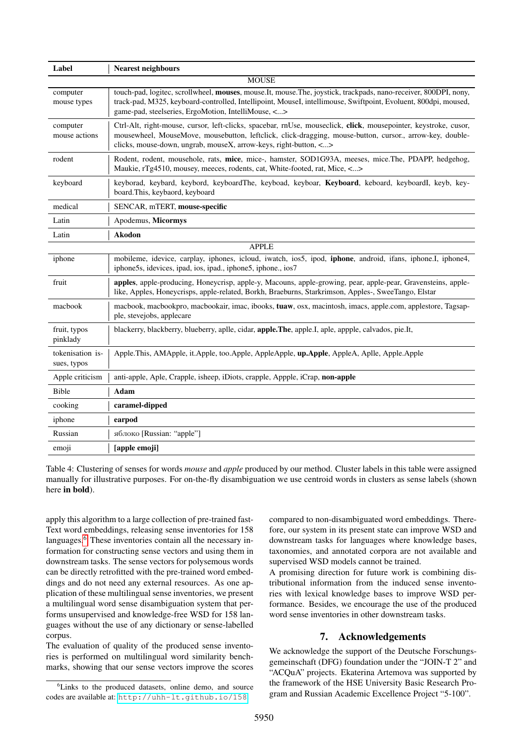<span id="page-7-0"></span>

| Label                           | <b>Nearest neighbours</b>                                                                                                                                                                                                                                                                       |  |  |  |
|---------------------------------|-------------------------------------------------------------------------------------------------------------------------------------------------------------------------------------------------------------------------------------------------------------------------------------------------|--|--|--|
| <b>MOUSE</b>                    |                                                                                                                                                                                                                                                                                                 |  |  |  |
| computer<br>mouse types         | touch-pad, logitec, scrollwheel, mouses, mouse.It, mouse.The, joystick, trackpads, nano-receiver, 800DPI, nony,<br>track-pad, M325, keyboard-controlled, Intellipoint, MouseI, intellimouse, Swiftpoint, Evoluent, 800dpi, moused,<br>game-pad, steelseries, ErgoMotion, IntelliMouse, <>       |  |  |  |
| computer<br>mouse actions       | Ctrl-Alt, right-mouse, cursor, left-clicks, spacebar, rnUse, mouseclick, click, mousepointer, keystroke, cusor,<br>mousewheel, MouseMove, mousebutton, leftclick, click-dragging, mouse-button, cursor., arrow-key, double-<br>clicks, mouse-down, ungrab, mouseX, arrow-keys, right-button, <> |  |  |  |
| rodent                          | Rodent, rodent, mousehole, rats, mice, mice-, hamster, SOD1G93A, meeses, mice.The, PDAPP, hedgehog,<br>Maukie, rTg4510, mousey, meeces, rodents, cat, White-footed, rat, Mice, <>                                                                                                               |  |  |  |
| keyboard                        | keyborad, keybard, keybord, keyboardThe, keyboad, keyboar, Keyboard, keboard, keyboardI, keyb, key-<br>board. This, keybaord, keyboard                                                                                                                                                          |  |  |  |
| medical                         | SENCAR, mTERT, mouse-specific                                                                                                                                                                                                                                                                   |  |  |  |
| Latin                           | Apodemus, Micormys                                                                                                                                                                                                                                                                              |  |  |  |
| Latin                           | <b>Akodon</b>                                                                                                                                                                                                                                                                                   |  |  |  |
| <b>APPLE</b>                    |                                                                                                                                                                                                                                                                                                 |  |  |  |
| iphone                          | mobileme, idevice, carplay, iphones, icloud, iwatch, ios5, ipod, <i>iphone</i> , android, ifans, <i>iphone.I</i> , <i>iphone4</i> ,<br>iphone5s, idevices, ipad, ios, ipad., iphone5, iphone., ios7                                                                                             |  |  |  |
| fruit                           | apples, apple-producing, Honeycrisp, apple-y, Macouns, apple-growing, pear, apple-pear, Gravensteins, apple-<br>like, Apples, Honeycrisps, apple-related, Borkh, Braeburns, Starkrimson, Apples-, SweeTango, Elstar                                                                             |  |  |  |
| macbook                         | macbook, macbookpro, macbookair, imac, ibooks, tuaw, osx, macintosh, imacs, apple.com, applestore, Tagsap-<br>ple, stevejobs, applecare                                                                                                                                                         |  |  |  |
| fruit, typos<br>pinklady        | blackerry, blackberry, blueberry, aplle, cidar, <b>apple.The</b> , apple.I, aple, appple, calvados, pie.It,                                                                                                                                                                                     |  |  |  |
| tokenisation is-<br>sues, typos | Apple.This, AMApple, it.Apple, too.Apple, AppleApple, up.Apple, AppleA, Aplle, Apple.Apple                                                                                                                                                                                                      |  |  |  |
| Apple criticism                 | anti-apple, Aple, Crapple, isheep, iDiots, crapple, Appple, iCrap, non-apple                                                                                                                                                                                                                    |  |  |  |
| Bible                           | Adam                                                                                                                                                                                                                                                                                            |  |  |  |
| cooking                         | caramel-dipped                                                                                                                                                                                                                                                                                  |  |  |  |
| iphone                          | earpod                                                                                                                                                                                                                                                                                          |  |  |  |
| Russian                         | яблоко [Russian: "apple"]                                                                                                                                                                                                                                                                       |  |  |  |
| emoji                           | [apple emoji]                                                                                                                                                                                                                                                                                   |  |  |  |

Table 4: Clustering of senses for words *mouse* and *apple* produced by our method. Cluster labels in this table were assigned manually for illustrative purposes. For on-the-fly disambiguation we use centroid words in clusters as sense labels (shown here in bold).

apply this algorithm to a large collection of pre-trained fast-Text word embeddings, releasing sense inventories for 158 languages.<sup>[6](#page-7-1)</sup> These inventories contain all the necessary information for constructing sense vectors and using them in downstream tasks. The sense vectors for polysemous words can be directly retrofitted with the pre-trained word embeddings and do not need any external resources. As one application of these multilingual sense inventories, we present a multilingual word sense disambiguation system that performs unsupervised and knowledge-free WSD for 158 languages without the use of any dictionary or sense-labelled corpus.

The evaluation of quality of the produced sense inventories is performed on multilingual word similarity benchmarks, showing that our sense vectors improve the scores compared to non-disambiguated word embeddings. Therefore, our system in its present state can improve WSD and downstream tasks for languages where knowledge bases, taxonomies, and annotated corpora are not available and supervised WSD models cannot be trained.

A promising direction for future work is combining distributional information from the induced sense inventories with lexical knowledge bases to improve WSD performance. Besides, we encourage the use of the produced word sense inventories in other downstream tasks.

## 7. Acknowledgements

We acknowledge the support of the Deutsche Forschungsgemeinschaft (DFG) foundation under the "JOIN-T 2" and "ACQuA" projects. Ekaterina Artemova was supported by the framework of the HSE University Basic Research Program and Russian Academic Excellence Project "5-100".

<span id="page-7-1"></span><sup>&</sup>lt;sup>6</sup>Links to the produced datasets, online demo, and source codes are available at: <http://uhh-lt.github.io/158>.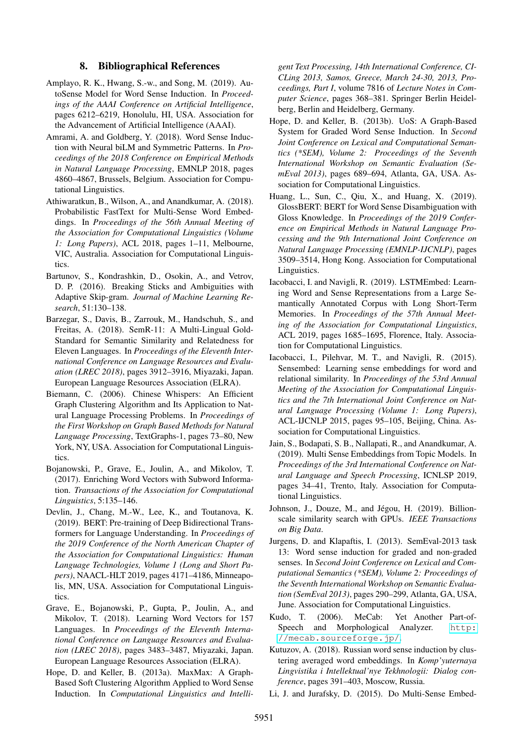## 8. Bibliographical References

- <span id="page-8-11"></span>Amplayo, R. K., Hwang, S.-w., and Song, M. (2019). AutoSense Model for Word Sense Induction. In *Proceedings of the AAAI Conference on Artificial Intelligence*, pages 6212–6219, Honolulu, HI, USA. Association for the Advancement of Artificial Intelligence (AAAI).
- <span id="page-8-15"></span>Amrami, A. and Goldberg, Y. (2018). Word Sense Induction with Neural biLM and Symmetric Patterns. In *Proceedings of the 2018 Conference on Empirical Methods in Natural Language Processing*, EMNLP 2018, pages 4860–4867, Brussels, Belgium. Association for Computational Linguistics.
- <span id="page-8-1"></span>Athiwaratkun, B., Wilson, A., and Anandkumar, A. (2018). Probabilistic FastText for Multi-Sense Word Embeddings. In *Proceedings of the 56th Annual Meeting of the Association for Computational Linguistics (Volume 1: Long Papers)*, ACL 2018, pages 1–11, Melbourne, VIC, Australia. Association for Computational Linguistics.
- <span id="page-8-10"></span>Bartunov, S., Kondrashkin, D., Osokin, A., and Vetrov, D. P. (2016). Breaking Sticks and Ambiguities with Adaptive Skip-gram. *Journal of Machine Learning Research*, 51:130–138.
- <span id="page-8-18"></span>Barzegar, S., Davis, B., Zarrouk, M., Handschuh, S., and Freitas, A. (2018). SemR-11: A Multi-Lingual Gold-Standard for Semantic Similarity and Relatedness for Eleven Languages. In *Proceedings of the Eleventh International Conference on Language Resources and Evaluation (LREC 2018)*, pages 3912–3916, Miyazaki, Japan. European Language Resources Association (ELRA).
- <span id="page-8-13"></span>Biemann, C. (2006). Chinese Whispers: An Efficient Graph Clustering Algorithm and Its Application to Natural Language Processing Problems. In *Proceedings of the First Workshop on Graph Based Methods for Natural Language Processing*, TextGraphs-1, pages 73–80, New York, NY, USA. Association for Computational Linguistics.
- <span id="page-8-3"></span>Bojanowski, P., Grave, E., Joulin, A., and Mikolov, T. (2017). Enriching Word Vectors with Subword Information. *Transactions of the Association for Computational Linguistics*, 5:135–146.
- <span id="page-8-5"></span>Devlin, J., Chang, M.-W., Lee, K., and Toutanova, K. (2019). BERT: Pre-training of Deep Bidirectional Transformers for Language Understanding. In *Proceedings of the 2019 Conference of the North American Chapter of the Association for Computational Linguistics: Human Language Technologies, Volume 1 (Long and Short Papers)*, NAACL-HLT 2019, pages 4171–4186, Minneapolis, MN, USA. Association for Computational Linguistics.
- <span id="page-8-0"></span>Grave, E., Bojanowski, P., Gupta, P., Joulin, A., and Mikolov, T. (2018). Learning Word Vectors for 157 Languages. In *Proceedings of the Eleventh International Conference on Language Resources and Evaluation (LREC 2018)*, pages 3483–3487, Miyazaki, Japan. European Language Resources Association (ELRA).
- <span id="page-8-14"></span>Hope, D. and Keller, B. (2013a). MaxMax: A Graph-Based Soft Clustering Algorithm Applied to Word Sense Induction. In *Computational Linguistics and Intelli-*

*gent Text Processing, 14th International Conference, CI-CLing 2013, Samos, Greece, March 24-30, 2013, Proceedings, Part I*, volume 7816 of *Lecture Notes in Computer Science*, pages 368–381. Springer Berlin Heidelberg, Berlin and Heidelberg, Germany.

- <span id="page-8-12"></span>Hope, D. and Keller, B. (2013b). UoS: A Graph-Based System for Graded Word Sense Induction. In *Second Joint Conference on Lexical and Computational Semantics (\*SEM), Volume 2: Proceedings of the Seventh International Workshop on Semantic Evaluation (SemEval 2013)*, pages 689–694, Atlanta, GA, USA. Association for Computational Linguistics.
- <span id="page-8-4"></span>Huang, L., Sun, C., Qiu, X., and Huang, X. (2019). GlossBERT: BERT for Word Sense Disambiguation with Gloss Knowledge. In *Proceedings of the 2019 Conference on Empirical Methods in Natural Language Processing and the 9th International Joint Conference on Natural Language Processing (EMNLP-IJCNLP)*, pages 3509–3514, Hong Kong. Association for Computational Linguistics.
- <span id="page-8-7"></span>Iacobacci, I. and Navigli, R. (2019). LSTMEmbed: Learning Word and Sense Representations from a Large Semantically Annotated Corpus with Long Short-Term Memories. In *Proceedings of the 57th Annual Meeting of the Association for Computational Linguistics*, ACL 2019, pages 1685–1695, Florence, Italy. Association for Computational Linguistics.
- <span id="page-8-6"></span>Iacobacci, I., Pilehvar, M. T., and Navigli, R. (2015). Sensembed: Learning sense embeddings for word and relational similarity. In *Proceedings of the 53rd Annual Meeting of the Association for Computational Linguistics and the 7th International Joint Conference on Natural Language Processing (Volume 1: Long Papers)*, ACL-IJCNLP 2015, pages 95–105, Beijing, China. Association for Computational Linguistics.
- <span id="page-8-2"></span>Jain, S., Bodapati, S. B., Nallapati, R., and Anandkumar, A. (2019). Multi Sense Embeddings from Topic Models. In *Proceedings of the 3rd International Conference on Natural Language and Speech Processing*, ICNLSP 2019, pages 34–41, Trento, Italy. Association for Computational Linguistics.
- <span id="page-8-16"></span>Johnson, J., Douze, M., and Jégou, H. (2019). Billionscale similarity search with GPUs. *IEEE Transactions on Big Data*.
- <span id="page-8-19"></span>Jurgens, D. and Klapaftis, I. (2013). SemEval-2013 task 13: Word sense induction for graded and non-graded senses. In *Second Joint Conference on Lexical and Computational Semantics (\*SEM), Volume 2: Proceedings of the Seventh International Workshop on Semantic Evaluation (SemEval 2013)*, pages 290–299, Atlanta, GA, USA, June. Association for Computational Linguistics.
- <span id="page-8-17"></span>Kudo, T. (2006). MeCab: Yet Another Part-ofSpeech and Morphological Analyzer. [http:](http://mecab.sourceforge.jp/) [//mecab.sourceforge.jp/](http://mecab.sourceforge.jp/).
- <span id="page-8-8"></span>Kutuzov, A. (2018). Russian word sense induction by clustering averaged word embeddings. In *Komp'yuternaya Lingvistika i Intellektual'nye Tekhnologii: Dialog conference*, pages 391–403, Moscow, Russia.
- <span id="page-8-9"></span>Li, J. and Jurafsky, D. (2015). Do Multi-Sense Embed-